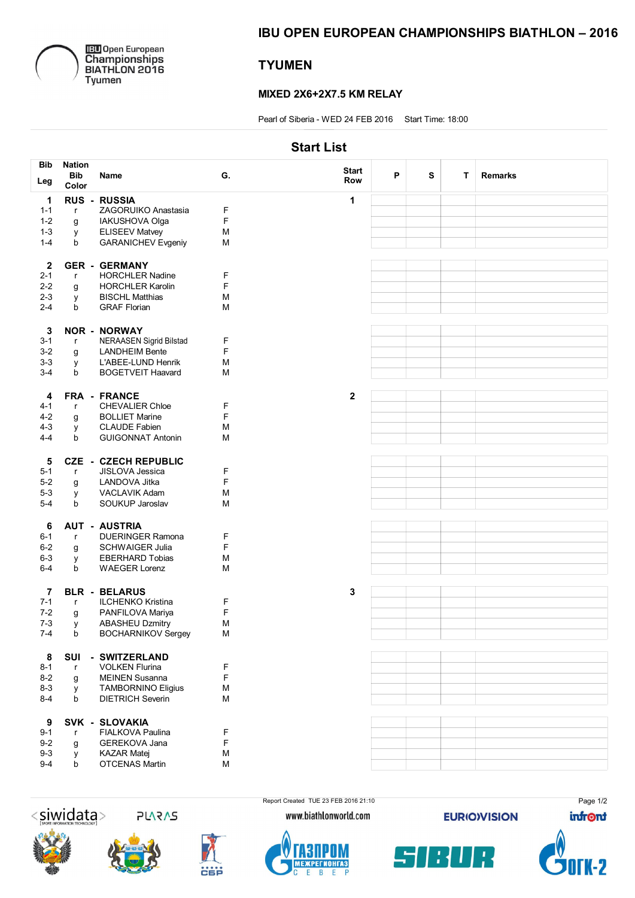

**IEU** Open European<br>Championships<br>BIATHLON 2016<br>Tyumen

# IBU OPEN EUROPEAN CHAMPIONSHIPS BIATHLON – 2016

# **TYUMEN**

### MIXED 2X6+2X7.5 KM RELAY

Pearl of Siberia - WED 24 FEB 2016 Start Time: 18:00

## Start List

| <b>Bib</b>       | <b>Nation</b> |                             |    |              |   |   |   |                |
|------------------|---------------|-----------------------------|----|--------------|---|---|---|----------------|
|                  | <b>Bib</b>    | Name                        | G. | <b>Start</b> | P | S | T | <b>Remarks</b> |
| Leg              | Color         |                             |    | Row          |   |   |   |                |
| $\mathbf 1$      |               | <b>RUS - RUSSIA</b>         |    | 1            |   |   |   |                |
| $1 - 1$          | $\mathsf{r}$  | ZAGORUIKO Anastasia         | F  |              |   |   |   |                |
| $1 - 2$          | g             | IAKUSHOVA Olga              | F  |              |   |   |   |                |
| $1 - 3$          | У             | <b>ELISEEV Matvey</b>       | M  |              |   |   |   |                |
| $1 - 4$          | b             | <b>GARANICHEV Evgeniy</b>   | M  |              |   |   |   |                |
|                  |               |                             |    |              |   |   |   |                |
| $\mathbf{2}$     |               | <b>GER - GERMANY</b>        |    |              |   |   |   |                |
| $2 - 1$          | $\mathsf{r}$  | <b>HORCHLER Nadine</b>      | F  |              |   |   |   |                |
| $2 - 2$          |               | <b>HORCHLER Karolin</b>     | F  |              |   |   |   |                |
| $2 - 3$          | g             | <b>BISCHL Matthias</b>      | M  |              |   |   |   |                |
| $2 - 4$          | У<br>b        | <b>GRAF Florian</b>         | M  |              |   |   |   |                |
|                  |               |                             |    |              |   |   |   |                |
|                  |               |                             |    |              |   |   |   |                |
| 3                |               | <b>NOR - NORWAY</b>         |    |              |   |   |   |                |
| $3 - 1$          | $\mathsf{r}$  | NERAASEN Sigrid Bilstad     | F  |              |   |   |   |                |
| $3-2$            | g             | <b>LANDHEIM Bente</b>       | F  |              |   |   |   |                |
| $3 - 3$          | у             | L'ABEE-LUND Henrik          | M  |              |   |   |   |                |
| $3 - 4$          | b             | <b>BOGETVEIT Haavard</b>    | M  |              |   |   |   |                |
|                  |               |                             |    |              |   |   |   |                |
| 4                |               | FRA - FRANCE                |    | $\mathbf 2$  |   |   |   |                |
| $4 - 1$          | $\mathsf{r}$  | <b>CHEVALIER Chloe</b>      | F  |              |   |   |   |                |
| $4 - 2$          | g             | <b>BOLLIET Marine</b>       | F  |              |   |   |   |                |
| $4 - 3$          | y             | <b>CLAUDE Fabien</b>        | M  |              |   |   |   |                |
| $4 - 4$          | b             | <b>GUIGONNAT Antonin</b>    | M  |              |   |   |   |                |
|                  |               |                             |    |              |   |   |   |                |
| 5                |               | <b>CZE - CZECH REPUBLIC</b> |    |              |   |   |   |                |
| $5 - 1$          | $\mathsf{r}$  | JISLOVA Jessica             | F  |              |   |   |   |                |
| $5-2$            | g             | LANDOVA Jitka               | F  |              |   |   |   |                |
| $5-3$            | У             | VACLAVIK Adam               | M  |              |   |   |   |                |
| $5-4$            | b             | SOUKUP Jaroslav             | M  |              |   |   |   |                |
|                  |               |                             |    |              |   |   |   |                |
| 6                |               | <b>AUT - AUSTRIA</b>        |    |              |   |   |   |                |
| $6 - 1$          | $\mathsf{r}$  | <b>DUERINGER Ramona</b>     | F  |              |   |   |   |                |
| $6 - 2$          | g             | <b>SCHWAIGER Julia</b>      | F  |              |   |   |   |                |
| $6 - 3$          | у             | <b>EBERHARD Tobias</b>      | M  |              |   |   |   |                |
| $6 - 4$          | b             | <b>WAEGER Lorenz</b>        | M  |              |   |   |   |                |
|                  |               |                             |    |              |   |   |   |                |
| 7                |               | <b>BLR - BELARUS</b>        |    | 3            |   |   |   |                |
| $7 - 1$          | $\mathsf{r}$  | ILCHENKO Kristina           | F  |              |   |   |   |                |
| $7 - 2$          | g             | PANFILOVA Mariya            | F  |              |   |   |   |                |
| $7 - 3$          | y             | <b>ABASHEU Dzmitry</b>      | M  |              |   |   |   |                |
| $7 - 4$          | b             | <b>BOCHARNIKOV Sergey</b>   | M  |              |   |   |   |                |
|                  |               |                             |    |              |   |   |   |                |
| 8                | SUI           | - SWITZERLAND               |    |              |   |   |   |                |
| $8 - 1$          | $\mathsf{r}$  | <b>VOLKEN Flurina</b>       | F  |              |   |   |   |                |
| $8 - 2$          | g             | <b>MEINEN Susanna</b>       | F  |              |   |   |   |                |
| $8 - 3$          |               | <b>TAMBORNINO Eligius</b>   | M  |              |   |   |   |                |
| $8 - 4$          | У<br>b        | <b>DIETRICH Severin</b>     | M  |              |   |   |   |                |
|                  |               |                             |    |              |   |   |   |                |
| $\boldsymbol{9}$ |               | SVK - SLOVAKIA              |    |              |   |   |   |                |
| $9 - 1$          | r             | FIALKOVA Paulina            | F  |              |   |   |   |                |
|                  |               |                             | F  |              |   |   |   |                |
| $9 - 2$          | g             | GEREKOVA Jana               |    |              |   |   |   |                |
| $9 - 3$          | y             | <b>KAZAR Matej</b>          | M  |              |   |   |   |                |
| $9 - 4$          | b             | <b>OTCENAS Martin</b>       | M  |              |   |   |   |                |
|                  |               |                             |    |              |   |   |   |                |



**5V2V2** 











**EURIO)VISION** 



Page 1/2